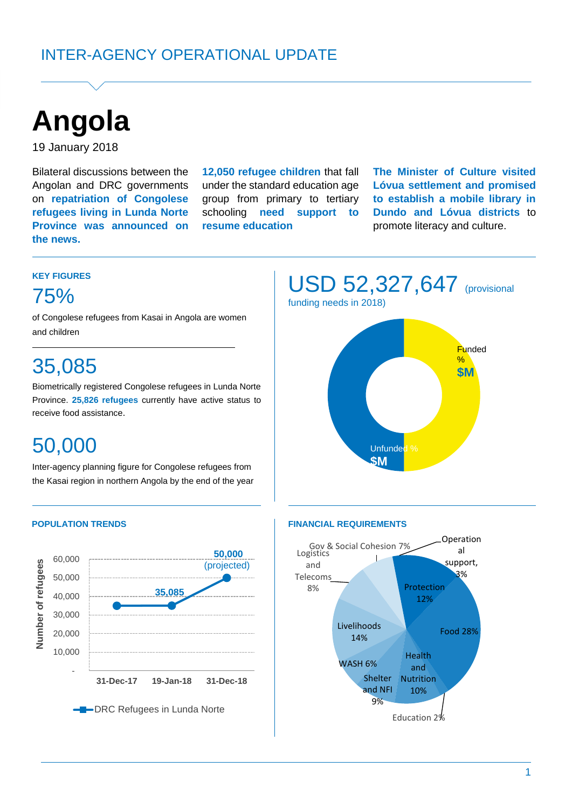

19 January 2018

Bilateral discussions between the Angolan and DRC governments on **repatriation of Congolese refugees living in Lunda Norte Province was announced on the news.**

**12,050 refugee children** that fall under the standard education age group from primary to tertiary schooling **need support to resume education**

**The Minister of Culture visited Lóvua settlement and promised to establish a mobile library in Dundo and Lóvua districts** to promote literacy and culture.

#### **KEY FIGURES**

# 75%

of Congolese refugees from Kasai in Angola are women and children

# 35,085

Biometrically registered Congolese refugees in Lunda Norte Province. **25,826 refugees** currently have active status to receive food assistance.

# 50,000

Inter-agency planning figure for Congolese refugees from the Kasai region in northern Angola by the end of the year





#### **POPULATION TRENDS FINANCIAL REQUIREMENTS**

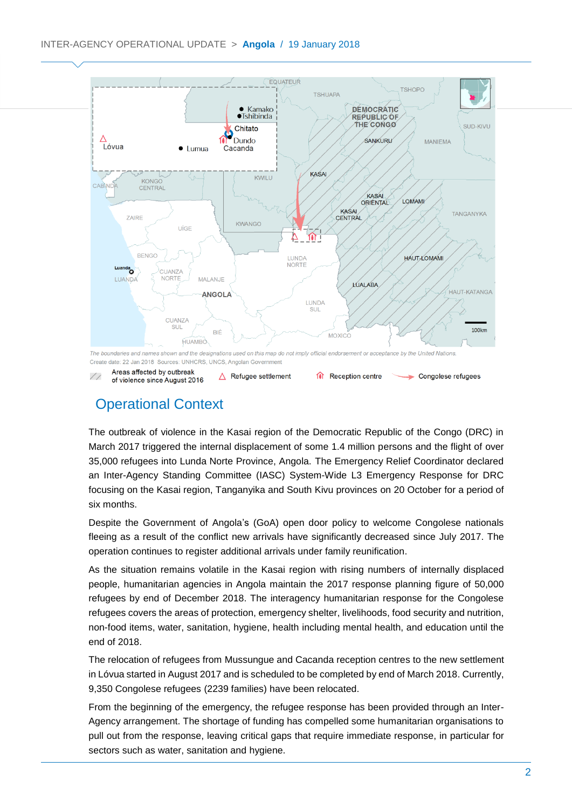

## Operational Context

The outbreak of violence in the Kasai region of the Democratic Republic of the Congo (DRC) in March 2017 triggered the internal displacement of some 1.4 million persons and the flight of over 35,000 refugees into Lunda Norte Province, Angola. The Emergency Relief Coordinator declared an Inter-Agency Standing Committee (IASC) System-Wide L3 Emergency Response for DRC focusing on the Kasai region, Tanganyika and South Kivu provinces on 20 October for a period of six months.

Despite the Government of Angola's (GoA) open door policy to welcome Congolese nationals fleeing as a result of the conflict new arrivals have significantly decreased since July 2017. The operation continues to register additional arrivals under family reunification.

As the situation remains volatile in the Kasai region with rising numbers of internally displaced people, humanitarian agencies in Angola maintain the 2017 response planning figure of 50,000 refugees by end of December 2018. The interagency humanitarian response for the Congolese refugees covers the areas of protection, emergency shelter, livelihoods, food security and nutrition, non-food items, water, sanitation, hygiene, health including mental health, and education until the end of 2018.

The relocation of refugees from Mussungue and Cacanda reception centres to the new settlement in Lóvua started in August 2017 and is scheduled to be completed by end of March 2018. Currently, 9,350 Congolese refugees (2239 families) have been relocated.

From the beginning of the emergency, the refugee response has been provided through an Inter-Agency arrangement. The shortage of funding has compelled some humanitarian organisations to pull out from the response, leaving critical gaps that require immediate response, in particular for sectors such as water, sanitation and hygiene.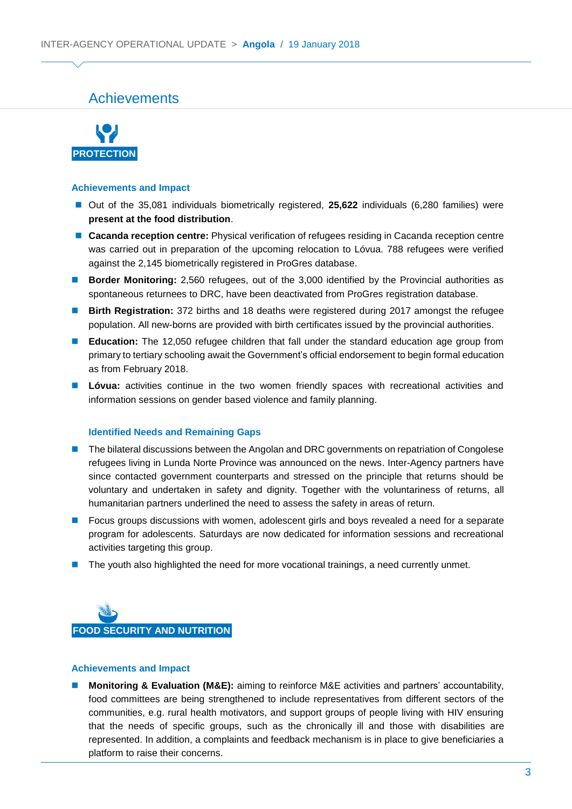### Achievements



#### **Achievements and Impact**

- Out of the 35,081 individuals biometrically registered, **25,622** individuals (6,280 families) were **present at the food distribution**.
- **Cacanda reception centre:** Physical verification of refugees residing in Cacanda reception centre was carried out in preparation of the upcoming relocation to Lóvua. 788 refugees were verified against the 2,145 biometrically registered in ProGres database.
- **Border Monitoring:** 2,560 refugees, out of the 3,000 identified by the Provincial authorities as spontaneous returnees to DRC, have been deactivated from ProGres registration database.
- **Birth Registration:** 372 births and 18 deaths were registered during 2017 amongst the refugee population. All new-borns are provided with birth certificates issued by the provincial authorities.
- **Education:** The 12,050 refugee children that fall under the standard education age group from primary to tertiary schooling await the Government's official endorsement to begin formal education as from February 2018.
- **Lóvua:** activities continue in the two women friendly spaces with recreational activities and information sessions on gender based violence and family planning.

#### **Identified Needs and Remaining Gaps**

- **The bilateral discussions between the Angolan and DRC governments on repatriation of Congolese** refugees living in Lunda Norte Province was announced on the news. Inter-Agency partners have since contacted government counterparts and stressed on the principle that returns should be voluntary and undertaken in safety and dignity. Together with the voluntariness of returns, all humanitarian partners underlined the need to assess the safety in areas of return.
- Focus groups discussions with women, adolescent girls and boys revealed a need for a separate program for adolescents. Saturdays are now dedicated for information sessions and recreational activities targeting this group.
- The youth also highlighted the need for more vocational trainings, a need currently unmet.



#### **Achievements and Impact**

**Monitoring & Evaluation (M&E):** aiming to reinforce M&E activities and partners' accountability, food committees are being strengthened to include representatives from different sectors of the communities, e.g. rural health motivators, and support groups of people living with HIV ensuring that the needs of specific groups, such as the chronically ill and those with disabilities are represented. In addition, a complaints and feedback mechanism is in place to give beneficiaries a platform to raise their concerns.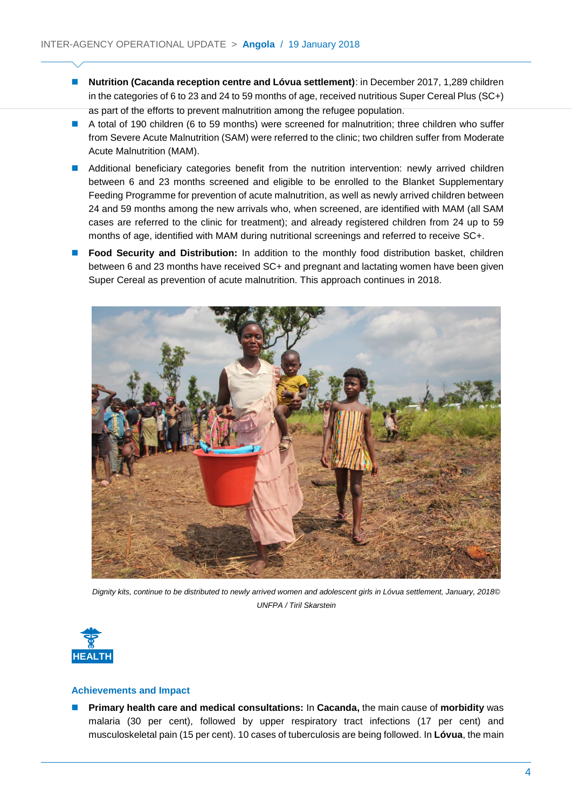- **Nutrition (Cacanda reception centre and Lóvua settlement)**: in December 2017, 1,289 children in the categories of 6 to 23 and 24 to 59 months of age, received nutritious Super Cereal Plus (SC+) as part of the efforts to prevent malnutrition among the refugee population.
- A total of 190 children (6 to 59 months) were screened for malnutrition; three children who suffer from Severe Acute Malnutrition (SAM) were referred to the clinic; two children suffer from Moderate Acute Malnutrition (MAM).
- **Additional beneficiary categories benefit from the nutrition intervention: newly arrived children** between 6 and 23 months screened and eligible to be enrolled to the Blanket Supplementary Feeding Programme for prevention of acute malnutrition, as well as newly arrived children between 24 and 59 months among the new arrivals who, when screened, are identified with MAM (all SAM cases are referred to the clinic for treatment); and already registered children from 24 up to 59 months of age, identified with MAM during nutritional screenings and referred to receive SC+.
- **Food Security and Distribution:** In addition to the monthly food distribution basket, children between 6 and 23 months have received SC+ and pregnant and lactating women have been given Super Cereal as prevention of acute malnutrition. This approach continues in 2018.



*Dignity kits, continue to be distributed to newly arrived women and adolescent girls in Lóvua settlement, January, 2018© UNFPA / Tiril Skarstein*



#### **Achievements and Impact**

 **Primary health care and medical consultations:** In **Cacanda,** the main cause of **morbidity** was malaria (30 per cent), followed by upper respiratory tract infections (17 per cent) and musculoskeletal pain (15 per cent). 10 cases of tuberculosis are being followed. In **Lóvua**, the main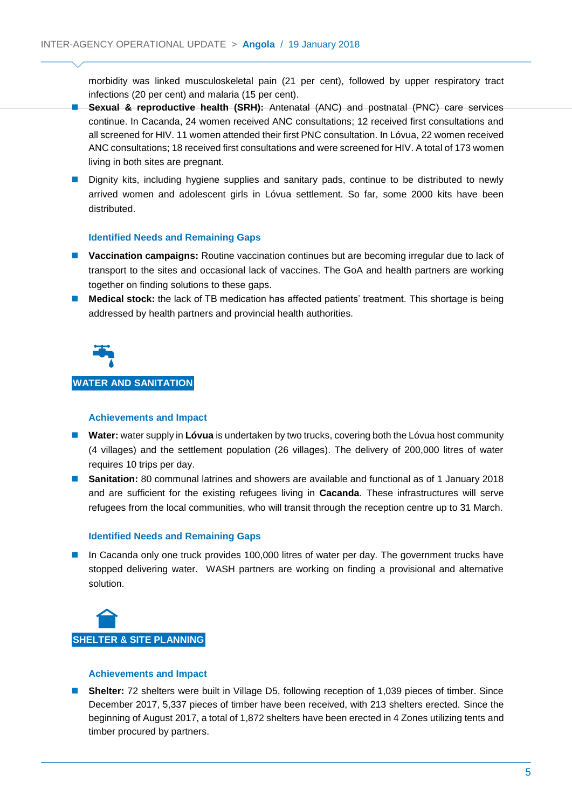morbidity was linked musculoskeletal pain (21 per cent), followed by upper respiratory tract infections (20 per cent) and malaria (15 per cent).

- **Sexual & reproductive health (SRH):** Antenatal (ANC) and postnatal (PNC) care services continue. In Cacanda, 24 women received ANC consultations; 12 received first consultations and all screened for HIV. 11 women attended their first PNC consultation. In Lóvua, 22 women received ANC consultations; 18 received first consultations and were screened for HIV. A total of 173 women living in both sites are pregnant.
- **Dignity kits, including hygiene supplies and sanitary pads, continue to be distributed to newly** arrived women and adolescent girls in Lóvua settlement. So far, some 2000 kits have been distributed.

#### **Identified Needs and Remaining Gaps**

- **Vaccination campaigns:** Routine vaccination continues but are becoming irregular due to lack of transport to the sites and occasional lack of vaccines. The GoA and health partners are working together on finding solutions to these gaps.
- **Medical stock:** the lack of TB medication has affected patients' treatment. This shortage is being addressed by health partners and provincial health authorities.



### **WATER AND SANITATION**

#### **Achievements and Impact**

- **Water:** water supply in **Lóvua** is undertaken by two trucks, covering both the Lóvua host community (4 villages) and the settlement population (26 villages). The delivery of 200,000 litres of water requires 10 trips per day.
- **Sanitation:** 80 communal latrines and showers are available and functional as of 1 January 2018 and are sufficient for the existing refugees living in **Cacanda**. These infrastructures will serve refugees from the local communities, who will transit through the reception centre up to 31 March.

#### **Identified Needs and Remaining Gaps**

In Cacanda only one truck provides 100,000 litres of water per day. The government trucks have stopped delivering water. WASH partners are working on finding a provisional and alternative solution.



#### **Achievements and Impact**

■ **Shelter:** 72 shelters were built in Village D5, following reception of 1,039 pieces of timber. Since December 2017, 5,337 pieces of timber have been received, with 213 shelters erected. Since the beginning of August 2017, a total of 1,872 shelters have been erected in 4 Zones utilizing tents and timber procured by partners.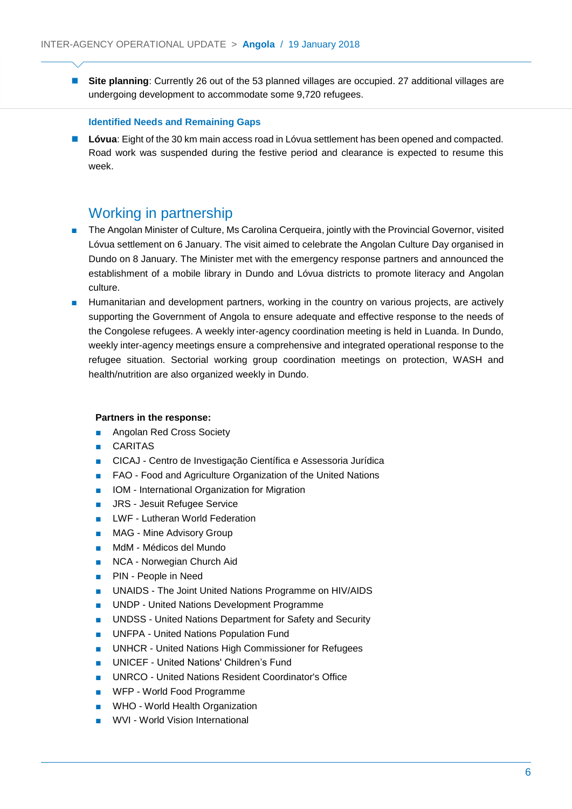■ Site planning: Currently 26 out of the 53 planned villages are occupied. 27 additional villages are undergoing development to accommodate some 9,720 refugees.

#### **Identified Needs and Remaining Gaps**

**Lóvua**: Eight of the 30 km main access road in Lóvua settlement has been opened and compacted. Road work was suspended during the festive period and clearance is expected to resume this week.

### Working in partnership

- The Angolan Minister of Culture, Ms Carolina Cerqueira, jointly with the Provincial Governor, visited Lóvua settlement on 6 January. The visit aimed to celebrate the Angolan Culture Day organised in Dundo on 8 January. The Minister met with the emergency response partners and announced the establishment of a mobile library in Dundo and Lóvua districts to promote literacy and Angolan culture.
- Humanitarian and development partners, working in the country on various projects, are actively supporting the Government of Angola to ensure adequate and effective response to the needs of the Congolese refugees. A weekly inter-agency coordination meeting is held in Luanda. In Dundo, weekly inter-agency meetings ensure a comprehensive and integrated operational response to the refugee situation. Sectorial working group coordination meetings on protection, WASH and health/nutrition are also organized weekly in Dundo.

#### **Partners in the response:**

- Angolan Red Cross Society
- CARITAS
- CICAJ Centro de Investigação Científica e Assessoria Jurídica
- FAO Food and Agriculture Organization of the United Nations
- IOM International Organization for Migration
- JRS Jesuit Refugee Service
- LWF Lutheran World Federation
- MAG Mine Advisory Group
- MdM Médicos del Mundo
- NCA Norwegian Church Aid
- PIN People in Need
- UNAIDS The Joint United Nations Programme on HIV/AIDS
- UNDP United Nations Development Programme
- **UNDSS United Nations Department for Safety and Security**
- UNFPA United Nations Population Fund
- UNHCR United Nations High Commissioner for Refugees
- UNICEF United Nations' Children's Fund
- UNRCO United Nations Resident Coordinator's Office
- WFP World Food Programme
- WHO World Health Organization
- WVI World Vision International